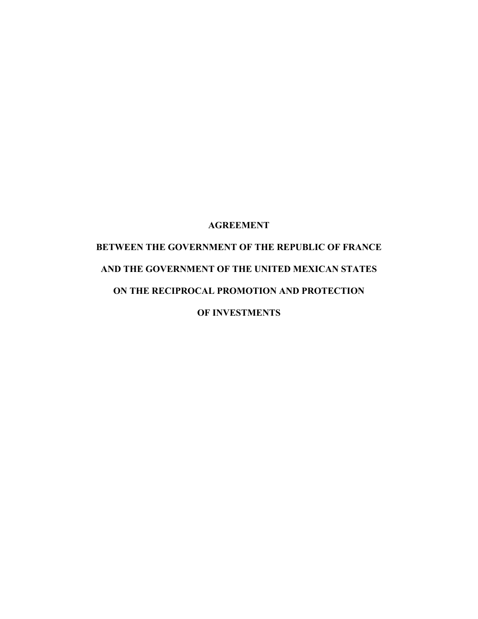# **AGREEMENT**

# **BETWEEN THE GOVERNMENT OF THE REPUBLIC OF FRANCE AND THE GOVERNMENT OF THE UNITED MEXICAN STATES ON THE RECIPROCAL PROMOTION AND PROTECTION OF INVESTMENTS**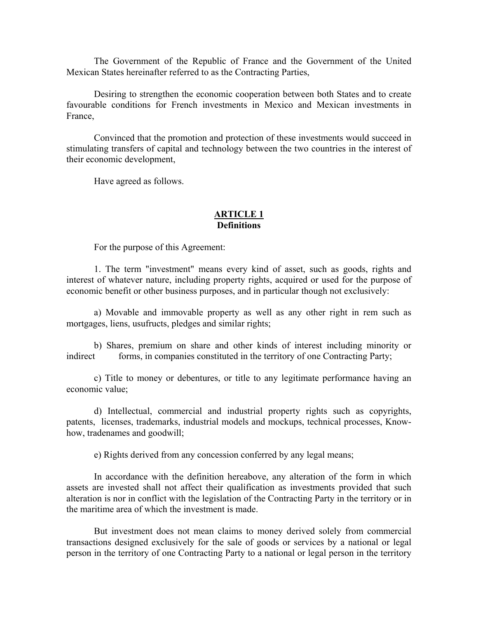The Government of the Republic of France and the Government of the United Mexican States hereinafter referred to as the Contracting Parties,

 Desiring to strengthen the economic cooperation between both States and to create favourable conditions for French investments in Mexico and Mexican investments in France,

 Convinced that the promotion and protection of these investments would succeed in stimulating transfers of capital and technology between the two countries in the interest of their economic development,

Have agreed as follows.

# **ARTICLE 1 Definitions**

For the purpose of this Agreement:

 1. The term "investment" means every kind of asset, such as goods, rights and interest of whatever nature, including property rights, acquired or used for the purpose of economic benefit or other business purposes, and in particular though not exclusively:

 a) Movable and immovable property as well as any other right in rem such as mortgages, liens, usufructs, pledges and similar rights;

 b) Shares, premium on share and other kinds of interest including minority or indirect forms, in companies constituted in the territory of one Contracting Party;

 c) Title to money or debentures, or title to any legitimate performance having an economic value;

 d) Intellectual, commercial and industrial property rights such as copyrights, patents, licenses, trademarks, industrial models and mockups, technical processes, Knowhow, tradenames and goodwill;

e) Rights derived from any concession conferred by any legal means;

 In accordance with the definition hereabove, any alteration of the form in which assets are invested shall not affect their qualification as investments provided that such alteration is nor in conflict with the legislation of the Contracting Party in the territory or in the maritime area of which the investment is made.

 But investment does not mean claims to money derived solely from commercial transactions designed exclusively for the sale of goods or services by a national or legal person in the territory of one Contracting Party to a national or legal person in the territory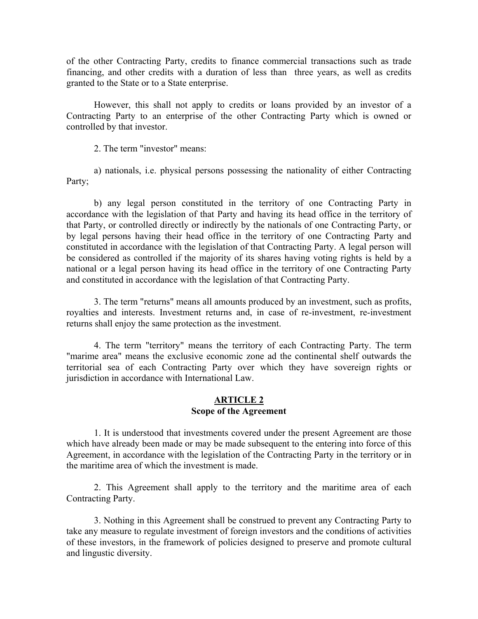of the other Contracting Party, credits to finance commercial transactions such as trade financing, and other credits with a duration of less than three years, as well as credits granted to the State or to a State enterprise.

 However, this shall not apply to credits or loans provided by an investor of a Contracting Party to an enterprise of the other Contracting Party which is owned or controlled by that investor.

2. The term "investor" means:

 a) nationals, i.e. physical persons possessing the nationality of either Contracting Party;

 b) any legal person constituted in the territory of one Contracting Party in accordance with the legislation of that Party and having its head office in the territory of that Party, or controlled directly or indirectly by the nationals of one Contracting Party, or by legal persons having their head office in the territory of one Contracting Party and constituted in accordance with the legislation of that Contracting Party. A legal person will be considered as controlled if the majority of its shares having voting rights is held by a national or a legal person having its head office in the territory of one Contracting Party and constituted in accordance with the legislation of that Contracting Party.

 3. The term "returns" means all amounts produced by an investment, such as profits, royalties and interests. Investment returns and, in case of re-investment, re-investment returns shall enjoy the same protection as the investment.

 4. The term "territory" means the territory of each Contracting Party. The term "marime area" means the exclusive economic zone ad the continental shelf outwards the territorial sea of each Contracting Party over which they have sovereign rights or jurisdiction in accordance with International Law.

#### **ARTICLE 2 Scope of the Agreement**

 1. It is understood that investments covered under the present Agreement are those which have already been made or may be made subsequent to the entering into force of this Agreement, in accordance with the legislation of the Contracting Party in the territory or in the maritime area of which the investment is made.

 2. This Agreement shall apply to the territory and the maritime area of each Contracting Party.

 3. Nothing in this Agreement shall be construed to prevent any Contracting Party to take any measure to regulate investment of foreign investors and the conditions of activities of these investors, in the framework of policies designed to preserve and promote cultural and lingustic diversity.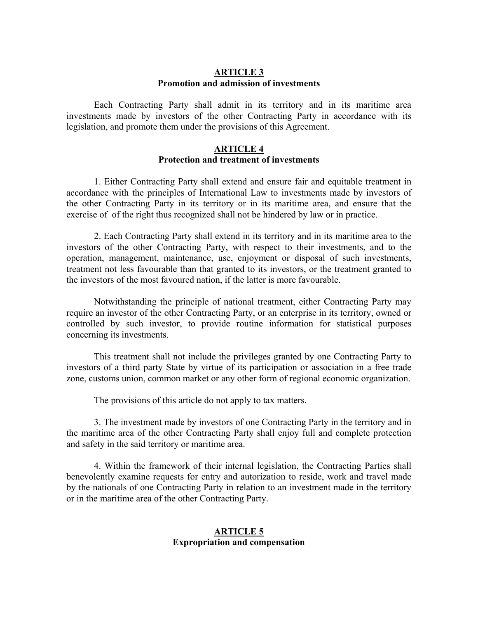# **ARTICLE 3 Promotion and admission of investments**

 Each Contracting Party shall admit in its territory and in its maritime area investments made by investors of the other Contracting Party in accordance with its legislation, and promote them under the provisions of this Agreement.

#### **ARTICLE 4 Protection and treatment of investments**

 1. Either Contracting Party shall extend and ensure fair and equitable treatment in accordance with the principles of International Law to investments made by investors of the other Contracting Party in its territory or in its maritime area, and ensure that the exercise of of the right thus recognized shall not be hindered by law or in practice.

 2. Each Contracting Party shall extend in its territory and in its maritime area to the investors of the other Contracting Party, with respect to their investments, and to the operation, management, maintenance, use, enjoyment or disposal of such investments, treatment not less favourable than that granted to its investors, or the treatment granted to the investors of the most favoured nation, if the latter is more favourable.

 Notwithstanding the principle of national treatment, either Contracting Party may require an investor of the other Contracting Party, or an enterprise in its territory, owned or controlled by such investor, to provide routine information for statistical purposes concerning its investments.

 This treatment shall not include the privileges granted by one Contracting Party to investors of a third party State by virtue of its participation or association in a free trade zone, customs union, common market or any other form of regional economic organization.

The provisions of this article do not apply to tax matters.

 3. The investment made by investors of one Contracting Party in the territory and in the maritime area of the other Contracting Party shall enjoy full and complete protection and safety in the said territory or maritime area.

 4. Within the framework of their internal legislation, the Contracting Parties shall benevolently examine requests for entry and autorization to reside, work and travel made by the nationals of one Contracting Party in relation to an investment made in the territory or in the maritime area of the other Contracting Party.

# **ARTICLE 5 Expropriation and compensation**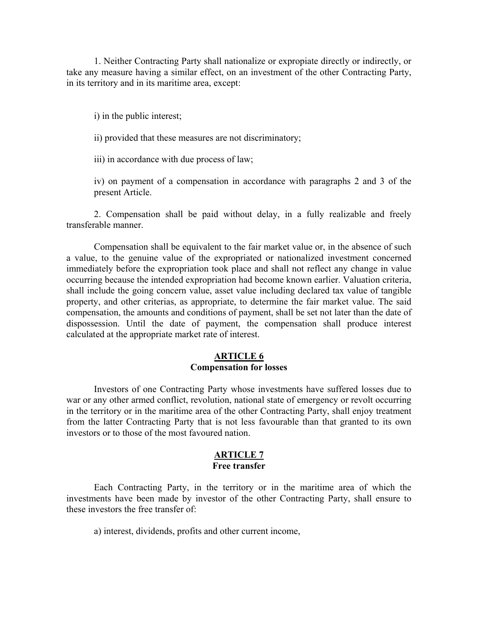1. Neither Contracting Party shall nationalize or expropiate directly or indirectly, or take any measure having a similar effect, on an investment of the other Contracting Party, in its territory and in its maritime area, except:

i) in the public interest;

ii) provided that these measures are not discriminatory;

iii) in accordance with due process of law;

 iv) on payment of a compensation in accordance with paragraphs 2 and 3 of the present Article.

 2. Compensation shall be paid without delay, in a fully realizable and freely transferable manner.

 Compensation shall be equivalent to the fair market value or, in the absence of such a value, to the genuine value of the expropriated or nationalized investment concerned immediately before the expropriation took place and shall not reflect any change in value occurring because the intended expropriation had become known earlier. Valuation criteria, shall include the going concern value, asset value including declared tax value of tangible property, and other criterias, as appropriate, to determine the fair market value. The said compensation, the amounts and conditions of payment, shall be set not later than the date of dispossession. Until the date of payment, the compensation shall produce interest calculated at the appropriate market rate of interest.

# **ARTICLE 6 Compensation for losses**

 Investors of one Contracting Party whose investments have suffered losses due to war or any other armed conflict, revolution, national state of emergency or revolt occurring in the territory or in the maritime area of the other Contracting Party, shall enjoy treatment from the latter Contracting Party that is not less favourable than that granted to its own investors or to those of the most favoured nation.

#### **ARTICLE 7 Free transfer**

 Each Contracting Party, in the territory or in the maritime area of which the investments have been made by investor of the other Contracting Party, shall ensure to these investors the free transfer of:

a) interest, dividends, profits and other current income,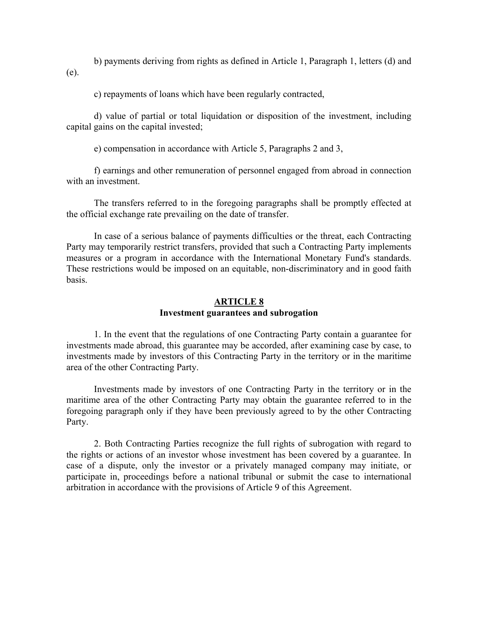b) payments deriving from rights as defined in Article 1, Paragraph 1, letters (d) and (e).

c) repayments of loans which have been regularly contracted,

 d) value of partial or total liquidation or disposition of the investment, including capital gains on the capital invested;

e) compensation in accordance with Article 5, Paragraphs 2 and 3,

 f) earnings and other remuneration of personnel engaged from abroad in connection with an investment.

 The transfers referred to in the foregoing paragraphs shall be promptly effected at the official exchange rate prevailing on the date of transfer.

 In case of a serious balance of payments difficulties or the threat, each Contracting Party may temporarily restrict transfers, provided that such a Contracting Party implements measures or a program in accordance with the International Monetary Fund's standards. These restrictions would be imposed on an equitable, non-discriminatory and in good faith basis.

# **ARTICLE 8 Investment guarantees and subrogation**

 1. In the event that the regulations of one Contracting Party contain a guarantee for investments made abroad, this guarantee may be accorded, after examining case by case, to investments made by investors of this Contracting Party in the territory or in the maritime area of the other Contracting Party.

 Investments made by investors of one Contracting Party in the territory or in the maritime area of the other Contracting Party may obtain the guarantee referred to in the foregoing paragraph only if they have been previously agreed to by the other Contracting Party.

 2. Both Contracting Parties recognize the full rights of subrogation with regard to the rights or actions of an investor whose investment has been covered by a guarantee. In case of a dispute, only the investor or a privately managed company may initiate, or participate in, proceedings before a national tribunal or submit the case to international arbitration in accordance with the provisions of Article 9 of this Agreement.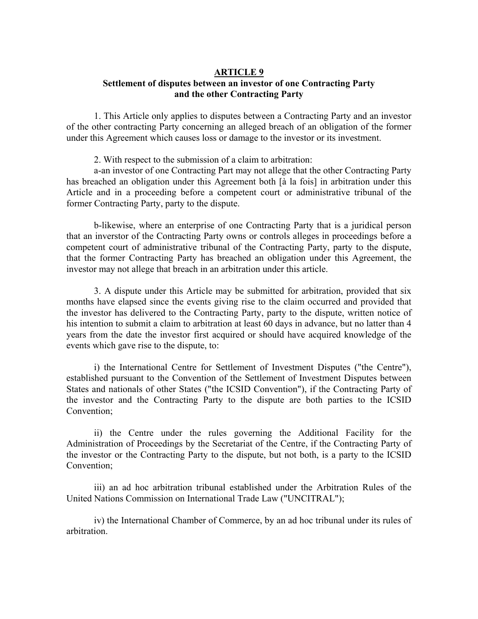# **ARTICLE 9 Settlement of disputes between an investor of one Contracting Party and the other Contracting Party**

 1. This Article only applies to disputes between a Contracting Party and an investor of the other contracting Party concerning an alleged breach of an obligation of the former under this Agreement which causes loss or damage to the investor or its investment.

2. With respect to the submission of a claim to arbitration:

 a-an investor of one Contracting Part may not allege that the other Contracting Party has breached an obligation under this Agreement both [à la fois] in arbitration under this Article and in a proceeding before a competent court or administrative tribunal of the former Contracting Party, party to the dispute.

 b-likewise, where an enterprise of one Contracting Party that is a juridical person that an inverstor of the Contracting Party owns or controls alleges in proceedings before a competent court of administrative tribunal of the Contracting Party, party to the dispute, that the former Contracting Party has breached an obligation under this Agreement, the investor may not allege that breach in an arbitration under this article.

 3. A dispute under this Article may be submitted for arbitration, provided that six months have elapsed since the events giving rise to the claim occurred and provided that the investor has delivered to the Contracting Party, party to the dispute, written notice of his intention to submit a claim to arbitration at least 60 days in advance, but no latter than 4 years from the date the investor first acquired or should have acquired knowledge of the events which gave rise to the dispute, to:

 i) the International Centre for Settlement of Investment Disputes ("the Centre"), established pursuant to the Convention of the Settlement of Investment Disputes between States and nationals of other States ("the ICSID Convention"), if the Contracting Party of the investor and the Contracting Party to the dispute are both parties to the ICSID Convention;

 ii) the Centre under the rules governing the Additional Facility for the Administration of Proceedings by the Secretariat of the Centre, if the Contracting Party of the investor or the Contracting Party to the dispute, but not both, is a party to the ICSID Convention;

 iii) an ad hoc arbitration tribunal established under the Arbitration Rules of the United Nations Commission on International Trade Law ("UNCITRAL");

 iv) the International Chamber of Commerce, by an ad hoc tribunal under its rules of arbitration.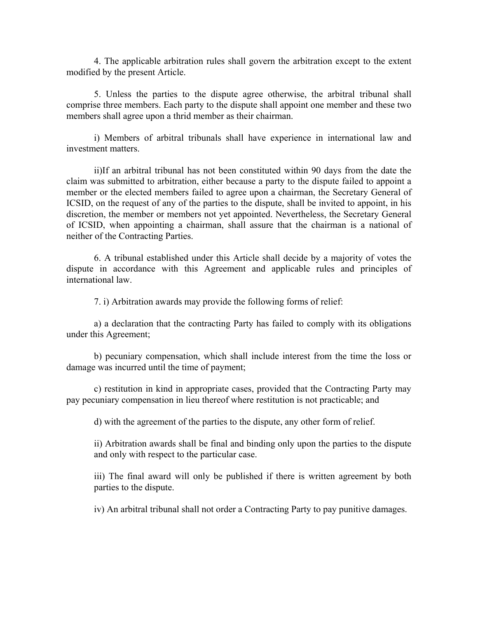4. The applicable arbitration rules shall govern the arbitration except to the extent modified by the present Article.

 5. Unless the parties to the dispute agree otherwise, the arbitral tribunal shall comprise three members. Each party to the dispute shall appoint one member and these two members shall agree upon a thrid member as their chairman.

 i) Members of arbitral tribunals shall have experience in international law and investment matters.

 ii)If an arbitral tribunal has not been constituted within 90 days from the date the claim was submitted to arbitration, either because a party to the dispute failed to appoint a member or the elected members failed to agree upon a chairman, the Secretary General of ICSID, on the request of any of the parties to the dispute, shall be invited to appoint, in his discretion, the member or members not yet appointed. Nevertheless, the Secretary General of ICSID, when appointing a chairman, shall assure that the chairman is a national of neither of the Contracting Parties.

 6. A tribunal established under this Article shall decide by a majority of votes the dispute in accordance with this Agreement and applicable rules and principles of international law.

7. i) Arbitration awards may provide the following forms of relief:

 a) a declaration that the contracting Party has failed to comply with its obligations under this Agreement;

 b) pecuniary compensation, which shall include interest from the time the loss or damage was incurred until the time of payment;

 c) restitution in kind in appropriate cases, provided that the Contracting Party may pay pecuniary compensation in lieu thereof where restitution is not practicable; and

d) with the agreement of the parties to the dispute, any other form of relief.

 ii) Arbitration awards shall be final and binding only upon the parties to the dispute and only with respect to the particular case.

 iii) The final award will only be published if there is written agreement by both parties to the dispute.

iv) An arbitral tribunal shall not order a Contracting Party to pay punitive damages.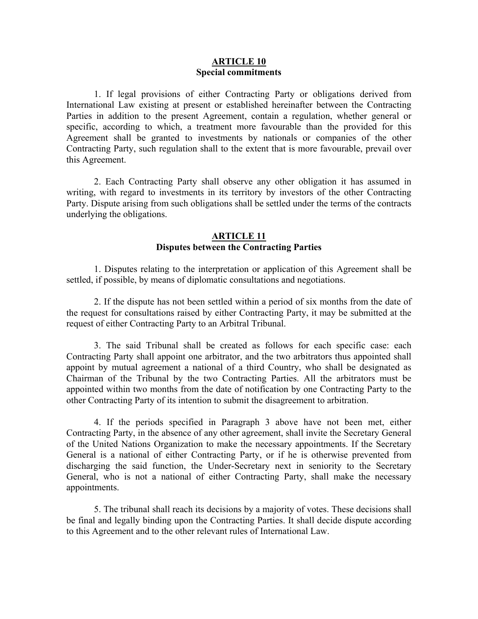#### **ARTICLE 10 Special commitments**

 1. If legal provisions of either Contracting Party or obligations derived from International Law existing at present or established hereinafter between the Contracting Parties in addition to the present Agreement, contain a regulation, whether general or specific, according to which, a treatment more favourable than the provided for this Agreement shall be granted to investments by nationals or companies of the other Contracting Party, such regulation shall to the extent that is more favourable, prevail over this Agreement.

 2. Each Contracting Party shall observe any other obligation it has assumed in writing, with regard to investments in its territory by investors of the other Contracting Party. Dispute arising from such obligations shall be settled under the terms of the contracts underlying the obligations.

#### **ARTICLE 11 Disputes between the Contracting Parties**

 1. Disputes relating to the interpretation or application of this Agreement shall be settled, if possible, by means of diplomatic consultations and negotiations.

 2. If the dispute has not been settled within a period of six months from the date of the request for consultations raised by either Contracting Party, it may be submitted at the request of either Contracting Party to an Arbitral Tribunal.

 3. The said Tribunal shall be created as follows for each specific case: each Contracting Party shall appoint one arbitrator, and the two arbitrators thus appointed shall appoint by mutual agreement a national of a third Country, who shall be designated as Chairman of the Tribunal by the two Contracting Parties. All the arbitrators must be appointed within two months from the date of notification by one Contracting Party to the other Contracting Party of its intention to submit the disagreement to arbitration.

 4. If the periods specified in Paragraph 3 above have not been met, either Contracting Party, in the absence of any other agreement, shall invite the Secretary General of the United Nations Organization to make the necessary appointments. If the Secretary General is a national of either Contracting Party, or if he is otherwise prevented from discharging the said function, the Under-Secretary next in seniority to the Secretary General, who is not a national of either Contracting Party, shall make the necessary appointments.

 5. The tribunal shall reach its decisions by a majority of votes. These decisions shall be final and legally binding upon the Contracting Parties. It shall decide dispute according to this Agreement and to the other relevant rules of International Law.